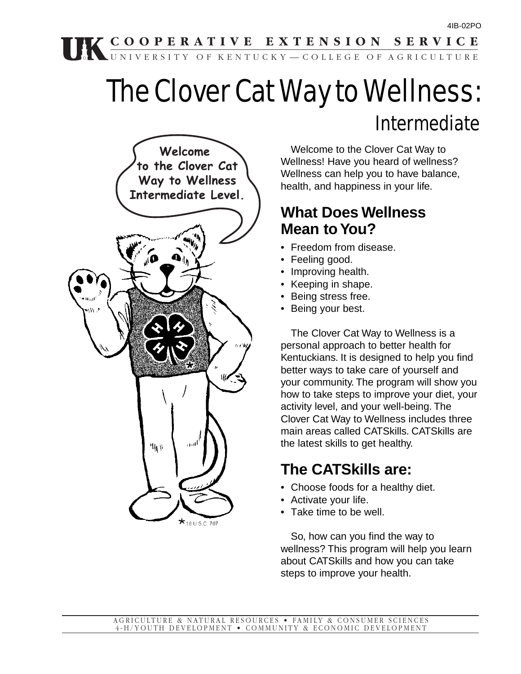## **COOPERATIVE EXTENSION SERVICE**

# The Clover Cat Way to Wellness: Intermediate

UNIVERSITY OF KENTUCKY—COLLEGE OF AGRICULTURE



Welcome to the Clover Cat Way to Wellness! Have you heard of wellness? Wellness can help you to have balance, health, and happiness in your life.

## **What Does Wellness Mean to You?**

- Freedom from disease.
- Feeling good.
- Improving health.
- Keeping in shape.
- Being stress free.
- Being your best.

The Clover Cat Way to Wellness is a personal approach to better health for Kentuckians. It is designed to help you find better ways to take care of yourself and your community. The program will show you how to take steps to improve your diet, your activity level, and your well-being. The Clover Cat Way to Wellness includes three main areas called CATSkills. CATSkills are the latest skills to get healthy.

## **The CATSkills are:**

- Choose foods for a healthy diet.
- Activate your life.
- Take time to be well.

So, how can you find the way to wellness? This program will help you learn about CATSkills and how you can take steps to improve your health.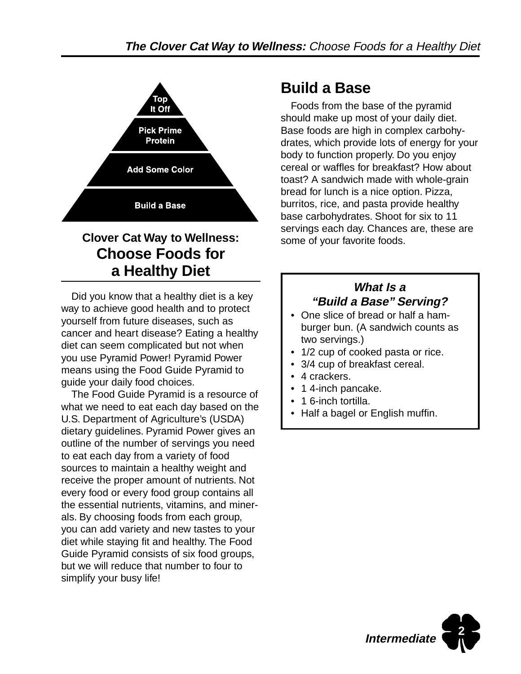

## **Clover Cat Way to Wellness: Choose Foods for a Healthy Diet**

Did you know that a healthy diet is a key way to achieve good health and to protect yourself from future diseases, such as cancer and heart disease? Eating a healthy diet can seem complicated but not when you use Pyramid Power! Pyramid Power means using the Food Guide Pyramid to guide your daily food choices.

The Food Guide Pyramid is a resource of what we need to eat each day based on the U.S. Department of Agriculture's (USDA) dietary guidelines. Pyramid Power gives an outline of the number of servings you need to eat each day from a variety of food sources to maintain a healthy weight and receive the proper amount of nutrients. Not every food or every food group contains all the essential nutrients, vitamins, and minerals. By choosing foods from each group, you can add variety and new tastes to your diet while staying fit and healthy. The Food Guide Pyramid consists of six food groups, but we will reduce that number to four to simplify your busy life!

## **Build a Base**

Foods from the base of the pyramid should make up most of your daily diet. Base foods are high in complex carbohydrates, which provide lots of energy for your body to function properly. Do you enjoy cereal or waffles for breakfast? How about toast? A sandwich made with whole-grain bread for lunch is a nice option. Pizza, burritos, rice, and pasta provide healthy base carbohydrates. Shoot for six to 11 servings each day. Chances are, these are some of your favorite foods.

### **What Is a "Build a Base" Serving?**

- One slice of bread or half a hamburger bun. (A sandwich counts as two servings.)
- 1/2 cup of cooked pasta or rice.
- 3/4 cup of breakfast cereal.
- 4 crackers.
- 1 4-inch pancake.
- 1 6-inch tortilla.
- Half a bagel or English muffin.

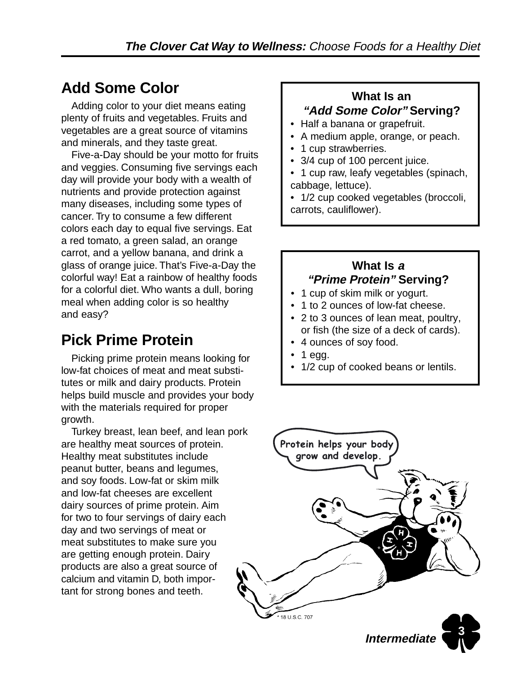## **Add Some Color**

Adding color to your diet means eating plenty of fruits and vegetables. Fruits and vegetables are a great source of vitamins and minerals, and they taste great.

Five-a-Day should be your motto for fruits and veggies. Consuming five servings each day will provide your body with a wealth of nutrients and provide protection against many diseases, including some types of cancer. Try to consume a few different colors each day to equal five servings. Eat a red tomato, a green salad, an orange carrot, and a yellow banana, and drink a glass of orange juice. That's Five-a-Day the colorful way! Eat a rainbow of healthy foods for a colorful diet. Who wants a dull, boring meal when adding color is so healthy and easy?

## **Pick Prime Protein**

Picking prime protein means looking for low-fat choices of meat and meat substitutes or milk and dairy products. Protein helps build muscle and provides your body with the materials required for proper growth.

Turkey breast, lean beef, and lean pork are healthy meat sources of protein. Healthy meat substitutes include peanut butter, beans and legumes, and soy foods. Low-fat or skim milk and low-fat cheeses are excellent dairy sources of prime protein. Aim for two to four servings of dairy each day and two servings of meat or meat substitutes to make sure you are getting enough protein. Dairy products are also a great source of calcium and vitamin D, both important for strong bones and teeth.

### **What Is an "Add Some Color" Serving?**

- Half a banana or grapefruit.
- A medium apple, orange, or peach.
- 1 cup strawberries.
- 3/4 cup of 100 percent juice.
- 1 cup raw, leafy vegetables (spinach, cabbage, lettuce).

• 1/2 cup cooked vegetables (broccoli, carrots, cauliflower).

## **What Is <sup>a</sup>**

#### **"Prime Protein" Serving?**

- 1 cup of skim milk or yogurt.
- 1 to 2 ounces of low-fat cheese.
- 2 to 3 ounces of lean meat, poultry, or fish (the size of a deck of cards).
- 4 ounces of soy food.
- 1 egg.
- 1/2 cup of cooked beans or lentils.

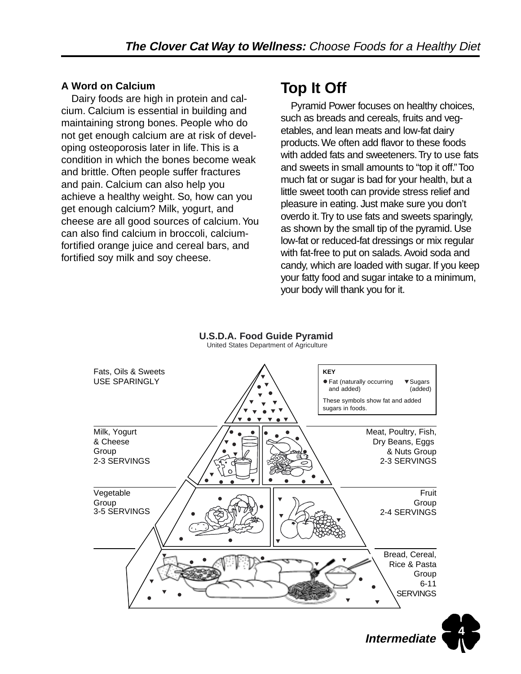#### **A Word on Calcium**

Dairy foods are high in protein and calcium. Calcium is essential in building and maintaining strong bones. People who do not get enough calcium are at risk of developing osteoporosis later in life. This is a condition in which the bones become weak and brittle. Often people suffer fractures and pain. Calcium can also help you achieve a healthy weight. So, how can you get enough calcium? Milk, yogurt, and cheese are all good sources of calcium. You can also find calcium in broccoli, calciumfortified orange juice and cereal bars, and fortified soy milk and soy cheese.

## **Top It Off**

Pyramid Power focuses on healthy choices, such as breads and cereals, fruits and vegetables, and lean meats and low-fat dairy products. We often add flavor to these foods with added fats and sweeteners. Try to use fats and sweets in small amounts to "top it off." Too much fat or sugar is bad for your health, but a little sweet tooth can provide stress relief and pleasure in eating. Just make sure you don't overdo it. Try to use fats and sweets sparingly, as shown by the small tip of the pyramid. Use low-fat or reduced-fat dressings or mix regular with fat-free to put on salads. Avoid soda and candy, which are loaded with sugar. If you keep your fatty food and sugar intake to a minimum, your body will thank you for it.



**U.S.D.A. Food Guide Pyramid** United States Department of Agriculture

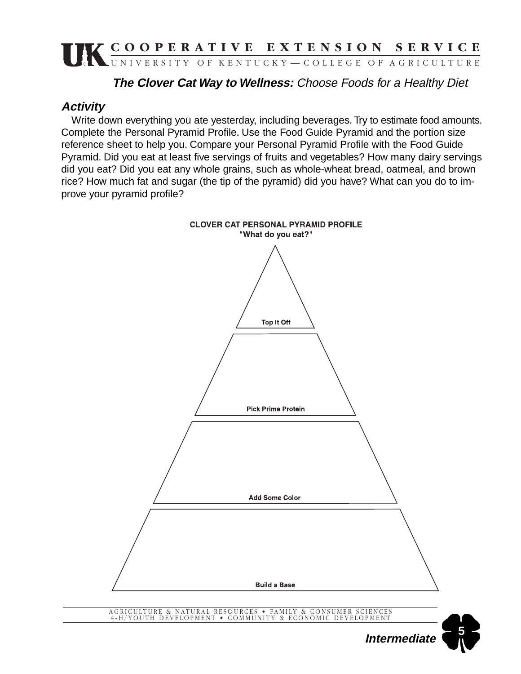### **The Clover Cat Way to Wellness:** Choose Foods for a Healthy Diet

#### **Activity**

Write down everything you ate yesterday, including beverages. Try to estimate food amounts. Complete the Personal Pyramid Profile. Use the Food Guide Pyramid and the portion size reference sheet to help you. Compare your Personal Pyramid Profile with the Food Guide Pyramid. Did you eat at least five servings of fruits and vegetables? How many dairy servings did you eat? Did you eat any whole grains, such as whole-wheat bread, oatmeal, and brown rice? How much fat and sugar (the tip of the pyramid) did you have? What can you do to improve your pyramid profile?

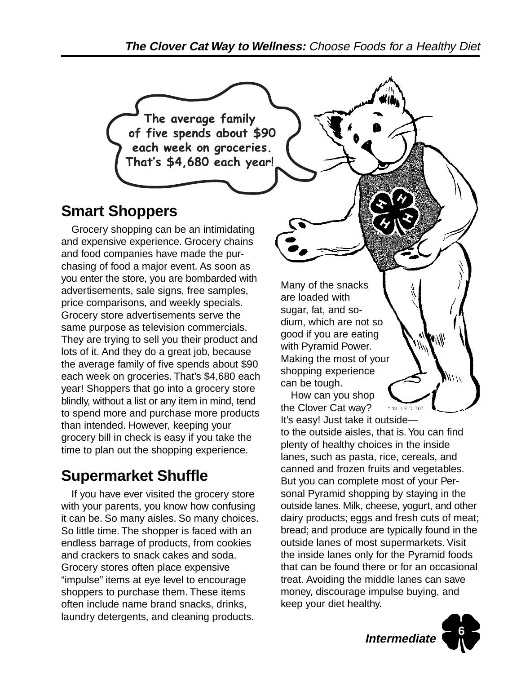**The Clover Cat Way to Wellness:** Choose Foods for a Healthy Diet

The average family of five spends about \$90 each week on groceries. That's \$4,680 each year!

## **Smart Shoppers**

Grocery shopping can be an intimidating and expensive experience. Grocery chains and food companies have made the purchasing of food a major event. As soon as you enter the store, you are bombarded with advertisements, sale signs, free samples, price comparisons, and weekly specials. Grocery store advertisements serve the same purpose as television commercials. They are trying to sell you their product and lots of it. And they do a great job, because the average family of five spends about \$90 each week on groceries. That's \$4,680 each year! Shoppers that go into a grocery store blindly, without a list or any item in mind, tend to spend more and purchase more products than intended. However, keeping your grocery bill in check is easy if you take the time to plan out the shopping experience.

## **Supermarket Shuffle**

If you have ever visited the grocery store with your parents, you know how confusing it can be. So many aisles. So many choices. So little time. The shopper is faced with an endless barrage of products, from cookies and crackers to snack cakes and soda. Grocery stores often place expensive "impulse" items at eye level to encourage shoppers to purchase them. These items often include name brand snacks, drinks, laundry detergents, and cleaning products.

Many of the snacks are loaded with sugar, fat, and sodium, which are not so good if you are eating with Pyramid Power. Making the most of your shopping experience can be tough.

How can you shop the Clover Cat way? It's easy! Just take it outside—

to the outside aisles, that is. You can find plenty of healthy choices in the inside lanes, such as pasta, rice, cereals, and canned and frozen fruits and vegetables. But you can complete most of your Personal Pyramid shopping by staying in the outside lanes. Milk, cheese, yogurt, and other dairy products; eggs and fresh cuts of meat; bread; and produce are typically found in the outside lanes of most supermarkets. Visit the inside lanes only for the Pyramid foods that can be found there or for an occasional treat. Avoiding the middle lanes can save money, discourage impulse buying, and keep your diet healthy.



Will W

18 U.S.C. 707

 $\mu/\mu$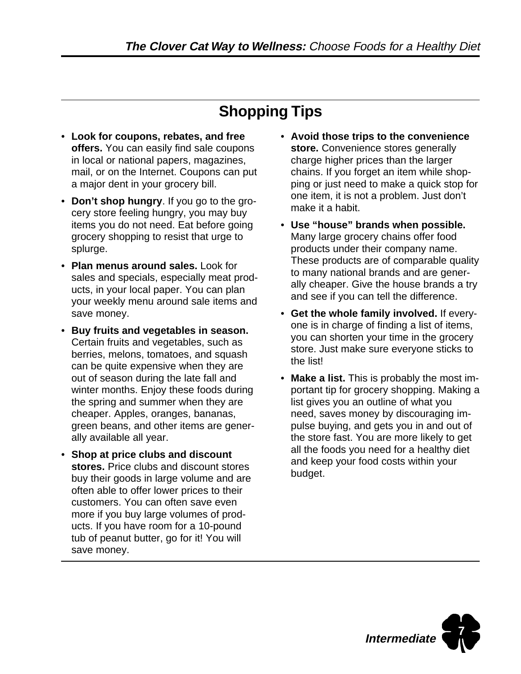## **Shopping Tips**

- **Look for coupons, rebates, and free offers.** You can easily find sale coupons in local or national papers, magazines, mail, or on the Internet. Coupons can put a major dent in your grocery bill.
- **Don't shop hungry**. If you go to the grocery store feeling hungry, you may buy items you do not need. Eat before going grocery shopping to resist that urge to splurge.
- **Plan menus around sales.** Look for sales and specials, especially meat products, in your local paper. You can plan your weekly menu around sale items and save money.
- **Buy fruits and vegetables in season.** Certain fruits and vegetables, such as berries, melons, tomatoes, and squash can be quite expensive when they are out of season during the late fall and winter months. Enjoy these foods during the spring and summer when they are cheaper. Apples, oranges, bananas, green beans, and other items are generally available all year.
- **Shop at price clubs and discount stores.** Price clubs and discount stores buy their goods in large volume and are often able to offer lower prices to their customers. You can often save even more if you buy large volumes of products. If you have room for a 10-pound tub of peanut butter, go for it! You will save money.
- **Avoid those trips to the convenience store.** Convenience stores generally charge higher prices than the larger chains. If you forget an item while shopping or just need to make a quick stop for one item, it is not a problem. Just don't make it a habit.
- **Use "house" brands when possible.** Many large grocery chains offer food products under their company name. These products are of comparable quality to many national brands and are generally cheaper. Give the house brands a try and see if you can tell the difference.
- **Get the whole family involved.** If everyone is in charge of finding a list of items, you can shorten your time in the grocery store. Just make sure everyone sticks to the list!
- **Make a list.** This is probably the most important tip for grocery shopping. Making a list gives you an outline of what you need, saves money by discouraging impulse buying, and gets you in and out of the store fast. You are more likely to get all the foods you need for a healthy diet and keep your food costs within your budget.

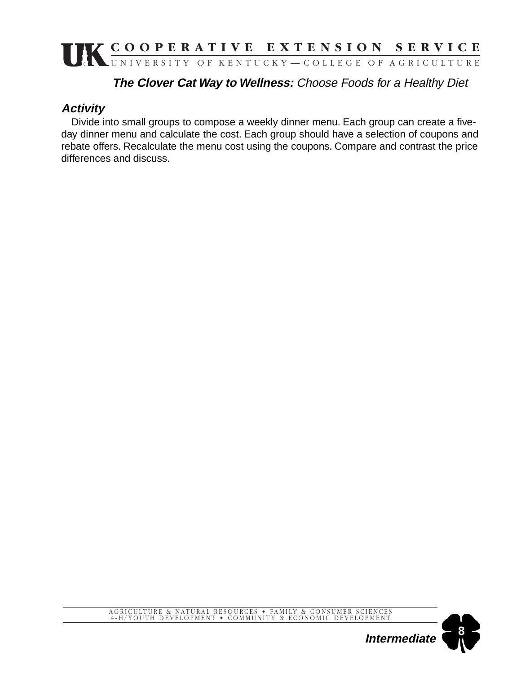### **The Clover Cat Way to Wellness:** Choose Foods for a Healthy Diet

### **Activity**

Divide into small groups to compose a weekly dinner menu. Each group can create a fiveday dinner menu and calculate the cost. Each group should have a selection of coupons and rebate offers. Recalculate the menu cost using the coupons. Compare and contrast the price differences and discuss.

### AGRICULTURE & NATURAL RESOURCES • FAMILY & CONSUMER SCIENCES 4-H/YOUTH DEVELOPMENT • COMMUNITY & ECONOMIC DEVELOPMENT

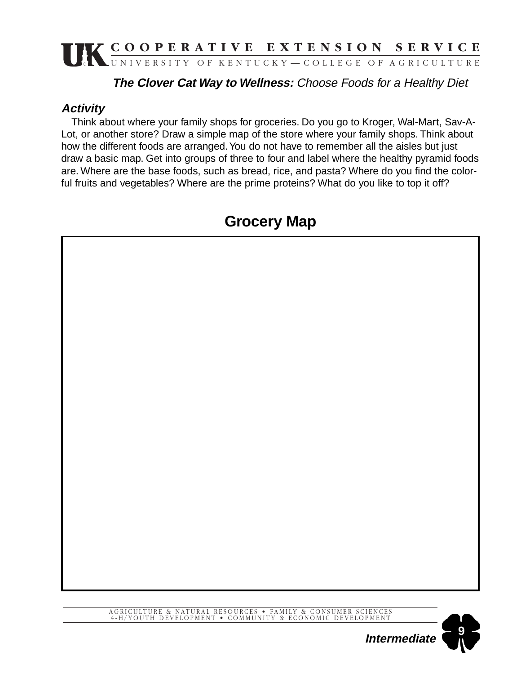### **The Clover Cat Way to Wellness:** Choose Foods for a Healthy Diet

### **Activity**

Think about where your family shops for groceries. Do you go to Kroger, Wal-Mart, Sav-A-Lot, or another store? Draw a simple map of the store where your family shops. Think about how the different foods are arranged. You do not have to remember all the aisles but just draw a basic map. Get into groups of three to four and label where the healthy pyramid foods are. Where are the base foods, such as bread, rice, and pasta? Where do you find the colorful fruits and vegetables? Where are the prime proteins? What do you like to top it off?

## **Grocery Map**



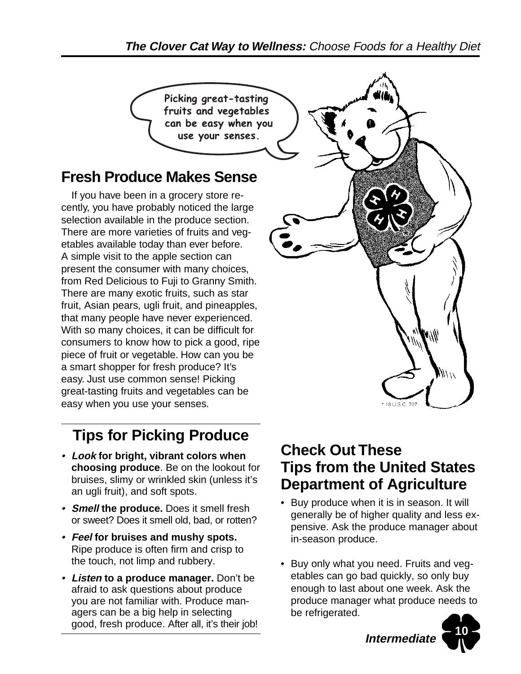Picking great-tasting fruits and vegetables can be easy when you use your senses.

## **Fresh Produce Makes Sense**

If you have been in a grocery store recently, you have probably noticed the large selection available in the produce section. There are more varieties of fruits and vegetables available today than ever before. A simple visit to the apple section can present the consumer with many choices, from Red Delicious to Fuji to Granny Smith. There are many exotic fruits, such as star fruit, Asian pears, ugli fruit, and pineapples, that many people have never experienced. With so many choices, it can be difficult for consumers to know how to pick a good, ripe piece of fruit or vegetable. How can you be a smart shopper for fresh produce? It's easy. Just use common sense! Picking great-tasting fruits and vegetables can be easy when you use your senses.

## **Tips for Picking Produce**

- **Look for bright, vibrant colors when choosing produce**. Be on the lookout for bruises, slimy or wrinkled skin (unless it's an ugli fruit), and soft spots.
- **Smell the produce.** Does it smell fresh or sweet? Does it smell old, bad, or rotten?
- **Feel for bruises and mushy spots.** Ripe produce is often firm and crisp to the touch, not limp and rubbery.
- **Listen to a produce manager.** Don't be afraid to ask questions about produce you are not familiar with. Produce managers can be a big help in selecting good, fresh produce. After all, it's their job!

# **Check Out These Tips from the United States Department of Agriculture**

- Buy produce when it is in season. It will generally be of higher quality and less expensive. Ask the produce manager about in-season produce.
- Buy only what you need. Fruits and vegetables can go bad quickly, so only buy enough to last about one week. Ask the produce manager what produce needs to be refrigerated.



**Intermediate**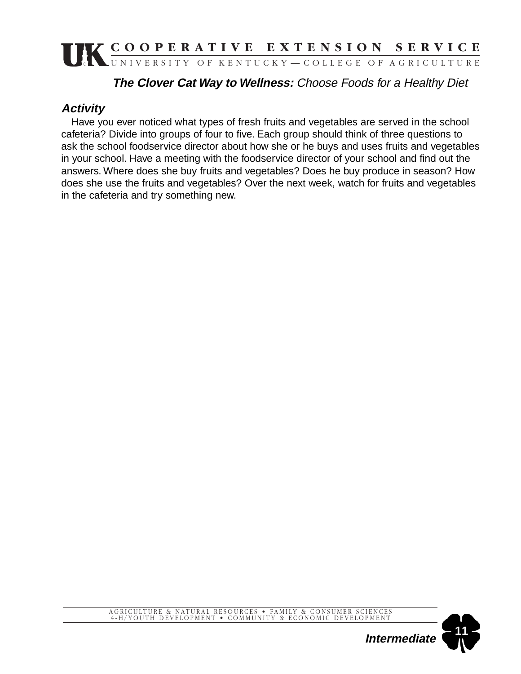### **The Clover Cat Way to Wellness:** Choose Foods for a Healthy Diet

### **Activity**

Have you ever noticed what types of fresh fruits and vegetables are served in the school cafeteria? Divide into groups of four to five. Each group should think of three questions to ask the school foodservice director about how she or he buys and uses fruits and vegetables in your school. Have a meeting with the foodservice director of your school and find out the answers. Where does she buy fruits and vegetables? Does he buy produce in season? How does she use the fruits and vegetables? Over the next week, watch for fruits and vegetables in the cafeteria and try something new.

### AGRICULTURE & NATURAL RESOURCES • FAMILY & CONSUMER SCIENCES 4-H/YOUTH DEVELOPMENT • COMMUNITY & ECONOMIC DEVELOPMENT

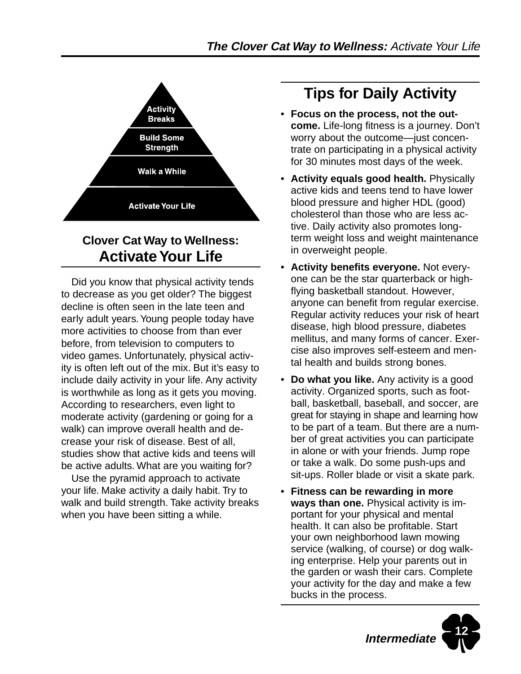

## **Clover Cat Way to Wellness: Activate Your Life**

Did you know that physical activity tends to decrease as you get older? The biggest decline is often seen in the late teen and early adult years. Young people today have more activities to choose from than ever before, from television to computers to video games. Unfortunately, physical activity is often left out of the mix. But it's easy to include daily activity in your life. Any activity is worthwhile as long as it gets you moving. According to researchers, even light to moderate activity (gardening or going for a walk) can improve overall health and decrease your risk of disease. Best of all, studies show that active kids and teens will be active adults. What are you waiting for?

Use the pyramid approach to activate your life. Make activity a daily habit. Try to walk and build strength. Take activity breaks when you have been sitting a while.

## **Tips for Daily Activity**

- **Focus on the process, not the outcome.** Life-long fitness is a journey. Don't worry about the outcome—just concentrate on participating in a physical activity for 30 minutes most days of the week.
- **Activity equals good health.** Physically active kids and teens tend to have lower blood pressure and higher HDL (good) cholesterol than those who are less active. Daily activity also promotes longterm weight loss and weight maintenance in overweight people.
- **Activity benefits everyone.** Not everyone can be the star quarterback or highflying basketball standout. However, anyone can benefit from regular exercise. Regular activity reduces your risk of heart disease, high blood pressure, diabetes mellitus, and many forms of cancer. Exercise also improves self-esteem and mental health and builds strong bones.
- **Do what you like.** Any activity is a good activity. Organized sports, such as football, basketball, baseball, and soccer, are great for staying in shape and learning how to be part of a team. But there are a number of great activities you can participate in alone or with your friends. Jump rope or take a walk. Do some push-ups and sit-ups. Roller blade or visit a skate park.
- **Fitness can be rewarding in more ways than one.** Physical activity is important for your physical and mental health. It can also be profitable. Start your own neighborhood lawn mowing service (walking, of course) or dog walking enterprise. Help your parents out in the garden or wash their cars. Complete your activity for the day and make a few bucks in the process.

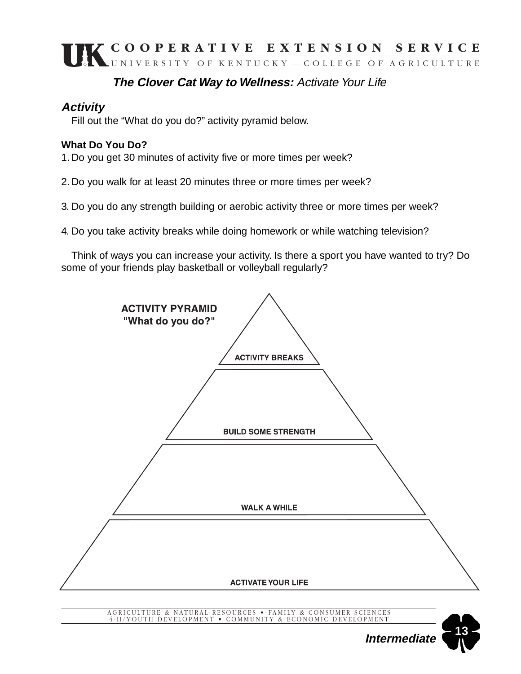### **The Clover Cat Way to Wellness:** Activate Your Life

#### **Activity**

Fill out the "What do you do?" activity pyramid below.

#### **What Do You Do?**

1. Do you get 30 minutes of activity five or more times per week?

2. Do you walk for at least 20 minutes three or more times per week?

3. Do you do any strength building or aerobic activity three or more times per week?

4. Do you take activity breaks while doing homework or while watching television?

Think of ways you can increase your activity. Is there a sport you have wanted to try? Do some of your friends play basketball or volleyball regularly?



AGRICULTURE & NATURAL RESOURCES • FAMILY & CONSUMER SCIENCES 4-H/YOUTH DEVELOPMENT • COMMUNITY & ECONOMIC DEVELOPMENT

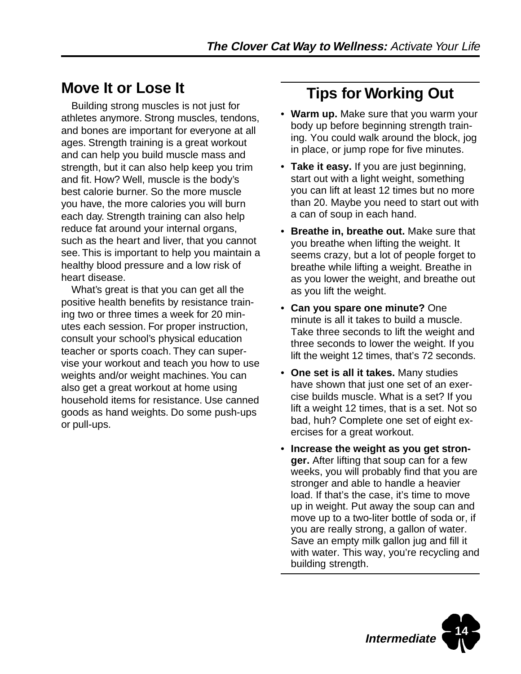## **Move It or Lose It**

Building strong muscles is not just for athletes anymore. Strong muscles, tendons, and bones are important for everyone at all ages. Strength training is a great workout and can help you build muscle mass and strength, but it can also help keep you trim and fit. How? Well, muscle is the body's best calorie burner. So the more muscle you have, the more calories you will burn each day. Strength training can also help reduce fat around your internal organs, such as the heart and liver, that you cannot see. This is important to help you maintain a healthy blood pressure and a low risk of heart disease.

What's great is that you can get all the positive health benefits by resistance training two or three times a week for 20 minutes each session. For proper instruction, consult your school's physical education teacher or sports coach. They can supervise your workout and teach you how to use weights and/or weight machines. You can also get a great workout at home using household items for resistance. Use canned goods as hand weights. Do some push-ups or pull-ups.

## **Tips for Working Out**

- **Warm up.** Make sure that you warm your body up before beginning strength training. You could walk around the block, jog in place, or jump rope for five minutes.
- **Take it easy.** If you are just beginning, start out with a light weight, something you can lift at least 12 times but no more than 20. Maybe you need to start out with a can of soup in each hand.
- **Breathe in, breathe out.** Make sure that you breathe when lifting the weight. It seems crazy, but a lot of people forget to breathe while lifting a weight. Breathe in as you lower the weight, and breathe out as you lift the weight.
- **Can you spare one minute?** One minute is all it takes to build a muscle. Take three seconds to lift the weight and three seconds to lower the weight. If you lift the weight 12 times, that's 72 seconds.
- **One set is all it takes.** Many studies have shown that just one set of an exercise builds muscle. What is a set? If you lift a weight 12 times, that is a set. Not so bad, huh? Complete one set of eight exercises for a great workout.
- **Increase the weight as you get stronger.** After lifting that soup can for a few weeks, you will probably find that you are stronger and able to handle a heavier load. If that's the case, it's time to move up in weight. Put away the soup can and move up to a two-liter bottle of soda or, if you are really strong, a gallon of water. Save an empty milk gallon jug and fill it with water. This way, you're recycling and building strength.

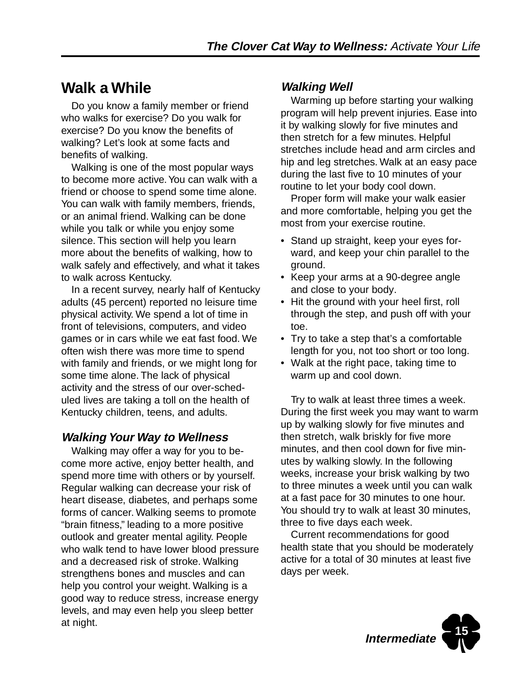## **Walk a While**

Do you know a family member or friend who walks for exercise? Do you walk for exercise? Do you know the benefits of walking? Let's look at some facts and benefits of walking.

Walking is one of the most popular ways to become more active. You can walk with a friend or choose to spend some time alone. You can walk with family members, friends, or an animal friend. Walking can be done while you talk or while you enjoy some silence. This section will help you learn more about the benefits of walking, how to walk safely and effectively, and what it takes to walk across Kentucky.

In a recent survey, nearly half of Kentucky adults (45 percent) reported no leisure time physical activity. We spend a lot of time in front of televisions, computers, and video games or in cars while we eat fast food. We often wish there was more time to spend with family and friends, or we might long for some time alone. The lack of physical activity and the stress of our over-scheduled lives are taking a toll on the health of Kentucky children, teens, and adults.

### **Walking Your Way to Wellness**

Walking may offer a way for you to become more active, enjoy better health, and spend more time with others or by yourself. Regular walking can decrease your risk of heart disease, diabetes, and perhaps some forms of cancer. Walking seems to promote "brain fitness," leading to a more positive outlook and greater mental agility. People who walk tend to have lower blood pressure and a decreased risk of stroke. Walking strengthens bones and muscles and can help you control your weight. Walking is a good way to reduce stress, increase energy levels, and may even help you sleep better at night.

### **Walking Well**

Warming up before starting your walking program will help prevent injuries. Ease into it by walking slowly for five minutes and then stretch for a few minutes. Helpful stretches include head and arm circles and hip and leg stretches. Walk at an easy pace during the last five to 10 minutes of your routine to let your body cool down.

Proper form will make your walk easier and more comfortable, helping you get the most from your exercise routine.

- Stand up straight, keep your eyes forward, and keep your chin parallel to the ground.
- Keep your arms at a 90-degree angle and close to your body.
- Hit the ground with your heel first, roll through the step, and push off with your toe.
- Try to take a step that's a comfortable length for you, not too short or too long.
- Walk at the right pace, taking time to warm up and cool down.

Try to walk at least three times a week. During the first week you may want to warm up by walking slowly for five minutes and then stretch, walk briskly for five more minutes, and then cool down for five minutes by walking slowly. In the following weeks, increase your brisk walking by two to three minutes a week until you can walk at a fast pace for 30 minutes to one hour. You should try to walk at least 30 minutes, three to five days each week.

Current recommendations for good health state that you should be moderately active for a total of 30 minutes at least five days per week.

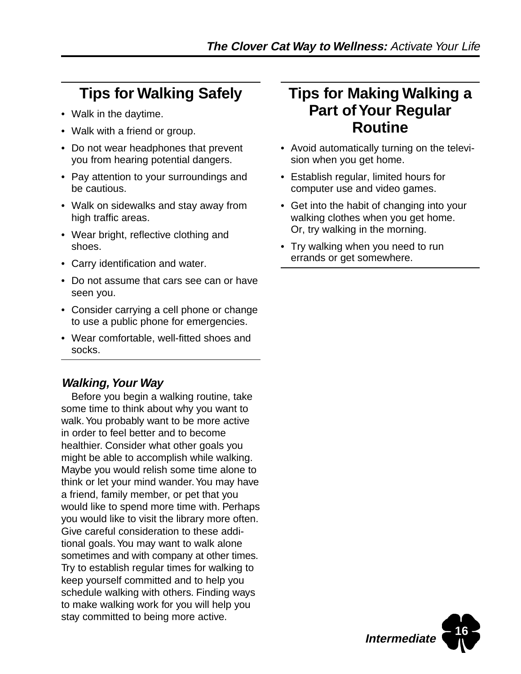## **Tips for Walking Safely**

- Walk in the daytime.
- Walk with a friend or group.
- Do not wear headphones that prevent you from hearing potential dangers.
- Pay attention to your surroundings and be cautious.
- Walk on sidewalks and stay away from high traffic areas.
- Wear bright, reflective clothing and shoes.
- Carry identification and water.
- Do not assume that cars see can or have seen you.
- Consider carrying a cell phone or change to use a public phone for emergencies.
- Wear comfortable, well-fitted shoes and socks.

#### **Walking, Your Way**

Before you begin a walking routine, take some time to think about why you want to walk. You probably want to be more active in order to feel better and to become healthier. Consider what other goals you might be able to accomplish while walking. Maybe you would relish some time alone to think or let your mind wander. You may have a friend, family member, or pet that you would like to spend more time with. Perhaps you would like to visit the library more often. Give careful consideration to these additional goals. You may want to walk alone sometimes and with company at other times. Try to establish regular times for walking to keep yourself committed and to help you schedule walking with others. Finding ways to make walking work for you will help you stay committed to being more active.

## **Tips for Making Walking a Part of Your Regular Routine**

- Avoid automatically turning on the television when you get home.
- Establish regular, limited hours for computer use and video games.
- Get into the habit of changing into your walking clothes when you get home. Or, try walking in the morning.
- Try walking when you need to run errands or get somewhere.

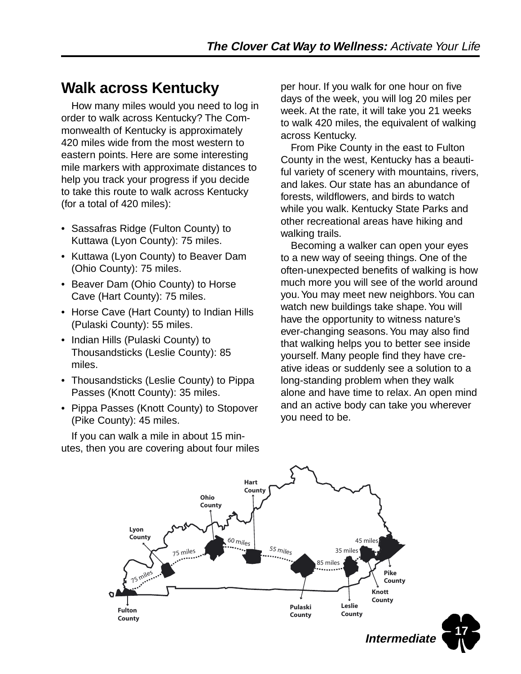## **Walk across Kentucky**

How many miles would you need to log in order to walk across Kentucky? The Commonwealth of Kentucky is approximately 420 miles wide from the most western to eastern points. Here are some interesting mile markers with approximate distances to help you track your progress if you decide to take this route to walk across Kentucky (for a total of 420 miles):

- Sassafras Ridge (Fulton County) to Kuttawa (Lyon County): 75 miles.
- Kuttawa (Lyon County) to Beaver Dam (Ohio County): 75 miles.
- Beaver Dam (Ohio County) to Horse Cave (Hart County): 75 miles.
- Horse Cave (Hart County) to Indian Hills (Pulaski County): 55 miles.
- Indian Hills (Pulaski County) to Thousandsticks (Leslie County): 85 miles.
- Thousandsticks (Leslie County) to Pippa Passes (Knott County): 35 miles.
- Pippa Passes (Knott County) to Stopover (Pike County): 45 miles.

If you can walk a mile in about 15 minutes, then you are covering about four miles per hour. If you walk for one hour on five days of the week, you will log 20 miles per week. At the rate, it will take you 21 weeks to walk 420 miles, the equivalent of walking across Kentucky.

From Pike County in the east to Fulton County in the west, Kentucky has a beautiful variety of scenery with mountains, rivers, and lakes. Our state has an abundance of forests, wildflowers, and birds to watch while you walk. Kentucky State Parks and other recreational areas have hiking and walking trails.

Becoming a walker can open your eyes to a new way of seeing things. One of the often-unexpected benefits of walking is how much more you will see of the world around you. You may meet new neighbors. You can watch new buildings take shape. You will have the opportunity to witness nature's ever-changing seasons. You may also find that walking helps you to better see inside yourself. Many people find they have creative ideas or suddenly see a solution to a long-standing problem when they walk alone and have time to relax. An open mind and an active body can take you wherever you need to be.

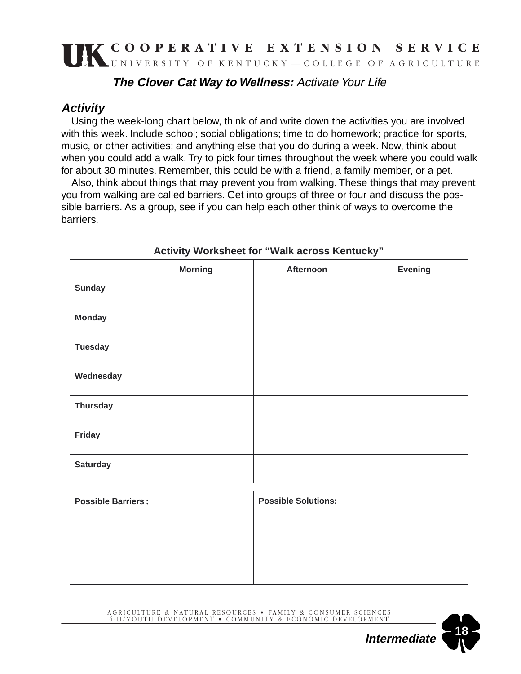#### **The Clover Cat Way to Wellness:** Activate Your Life

### **Activity**

Using the week-long chart below, think of and write down the activities you are involved with this week. Include school; social obligations; time to do homework; practice for sports, music, or other activities; and anything else that you do during a week. Now, think about when you could add a walk. Try to pick four times throughout the week where you could walk for about 30 minutes. Remember, this could be with a friend, a family member, or a pet.

Also, think about things that may prevent you from walking. These things that may prevent you from walking are called barriers. Get into groups of three or four and discuss the possible barriers. As a group, see if you can help each other think of ways to overcome the barriers.

|                 | <b>Morning</b> | Afternoon | <b>Evening</b> |
|-----------------|----------------|-----------|----------------|
| <b>Sunday</b>   |                |           |                |
| <b>Monday</b>   |                |           |                |
| <b>Tuesday</b>  |                |           |                |
| Wednesday       |                |           |                |
| <b>Thursday</b> |                |           |                |
| <b>Friday</b>   |                |           |                |
| <b>Saturday</b> |                |           |                |

#### **Activity Worksheet for "Walk across Kentucky"**

| <b>Possible Barriers:</b> | <b>Possible Solutions:</b> |
|---------------------------|----------------------------|
|                           |                            |
|                           |                            |
|                           |                            |

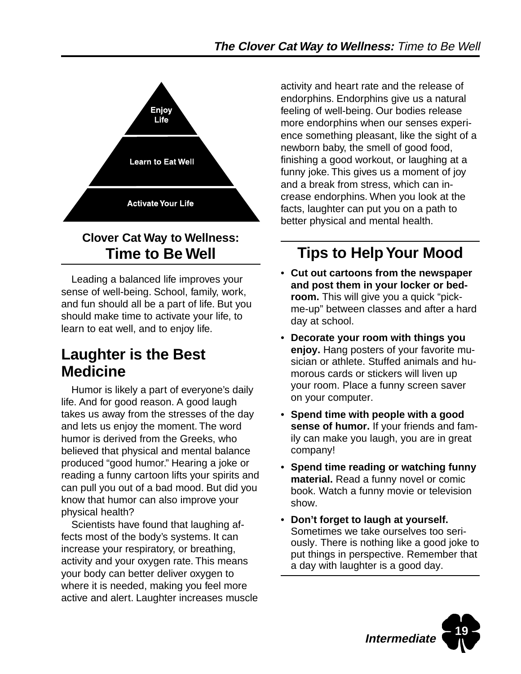

### **Clover Cat Way to Wellness: Time to Be Well**

Leading a balanced life improves your sense of well-being. School, family, work, and fun should all be a part of life. But you should make time to activate your life, to learn to eat well, and to enjoy life.

## **Laughter is the Best Medicine**

Humor is likely a part of everyone's daily life. And for good reason. A good laugh takes us away from the stresses of the day and lets us enjoy the moment. The word humor is derived from the Greeks, who believed that physical and mental balance produced "good humor." Hearing a joke or reading a funny cartoon lifts your spirits and can pull you out of a bad mood. But did you know that humor can also improve your physical health?

Scientists have found that laughing affects most of the body's systems. It can increase your respiratory, or breathing, activity and your oxygen rate. This means your body can better deliver oxygen to where it is needed, making you feel more active and alert. Laughter increases muscle activity and heart rate and the release of endorphins. Endorphins give us a natural feeling of well-being. Our bodies release more endorphins when our senses experience something pleasant, like the sight of a newborn baby, the smell of good food, finishing a good workout, or laughing at a funny joke. This gives us a moment of joy and a break from stress, which can increase endorphins. When you look at the facts, laughter can put you on a path to better physical and mental health.

## **Tips to Help Your Mood**

- **Cut out cartoons from the newspaper and post them in your locker or bedroom.** This will give you a quick "pickme-up" between classes and after a hard day at school.
- **Decorate your room with things you enjoy.** Hang posters of your favorite musician or athlete. Stuffed animals and humorous cards or stickers will liven up your room. Place a funny screen saver on your computer.
- **Spend time with people with a good sense of humor.** If your friends and family can make you laugh, you are in great company!
- **Spend time reading or watching funny material.** Read a funny novel or comic book. Watch a funny movie or television show.
- **Don't forget to laugh at yourself.** Sometimes we take ourselves too seriously. There is nothing like a good joke to put things in perspective. Remember that a day with laughter is a good day.

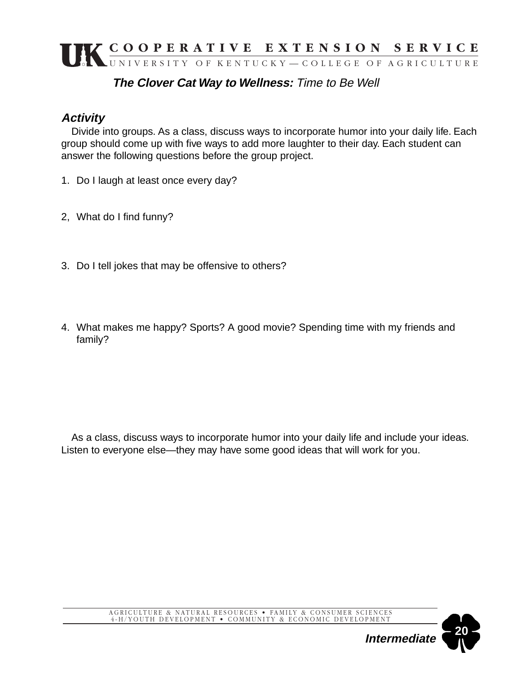#### **The Clover Cat Way to Wellness:** Time to Be Well

#### **Activity**

Divide into groups. As a class, discuss ways to incorporate humor into your daily life. Each group should come up with five ways to add more laughter to their day. Each student can answer the following questions before the group project.

- 1. Do I laugh at least once every day?
- 2, What do I find funny?
- 3. Do I tell jokes that may be offensive to others?
- 4. What makes me happy? Sports? A good movie? Spending time with my friends and family?

As a class, discuss ways to incorporate humor into your daily life and include your ideas. Listen to everyone else—they may have some good ideas that will work for you.

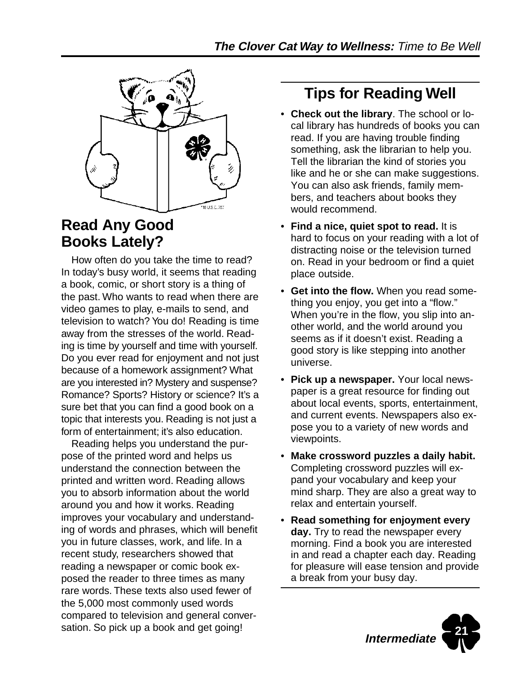

## **Read Any Good Books Lately?**

How often do you take the time to read? In today's busy world, it seems that reading a book, comic, or short story is a thing of the past. Who wants to read when there are video games to play, e-mails to send, and television to watch? You do! Reading is time away from the stresses of the world. Reading is time by yourself and time with yourself. Do you ever read for enjoyment and not just because of a homework assignment? What are you interested in? Mystery and suspense? Romance? Sports? History or science? It's a sure bet that you can find a good book on a topic that interests you. Reading is not just a form of entertainment; it's also education.

Reading helps you understand the purpose of the printed word and helps us understand the connection between the printed and written word. Reading allows you to absorb information about the world around you and how it works. Reading improves your vocabulary and understanding of words and phrases, which will benefit you in future classes, work, and life. In a recent study, researchers showed that reading a newspaper or comic book exposed the reader to three times as many rare words. These texts also used fewer of the 5,000 most commonly used words compared to television and general conversation. So pick up a book and get going!

## **Tips for Reading Well**

- **Check out the library**. The school or local library has hundreds of books you can read. If you are having trouble finding something, ask the librarian to help you. Tell the librarian the kind of stories you like and he or she can make suggestions. You can also ask friends, family members, and teachers about books they would recommend.
- **Find a nice, quiet spot to read.** It is hard to focus on your reading with a lot of distracting noise or the television turned on. Read in your bedroom or find a quiet place outside.
- **Get into the flow.** When you read something you enjoy, you get into a "flow." When you're in the flow, you slip into another world, and the world around you seems as if it doesn't exist. Reading a good story is like stepping into another universe.
- **Pick up a newspaper.** Your local newspaper is a great resource for finding out about local events, sports, entertainment, and current events. Newspapers also expose you to a variety of new words and viewpoints.
- **Make crossword puzzles a daily habit.** Completing crossword puzzles will expand your vocabulary and keep your mind sharp. They are also a great way to relax and entertain yourself.
- **Read something for enjoyment every day.** Try to read the newspaper every morning. Find a book you are interested in and read a chapter each day. Reading for pleasure will ease tension and provide a break from your busy day.

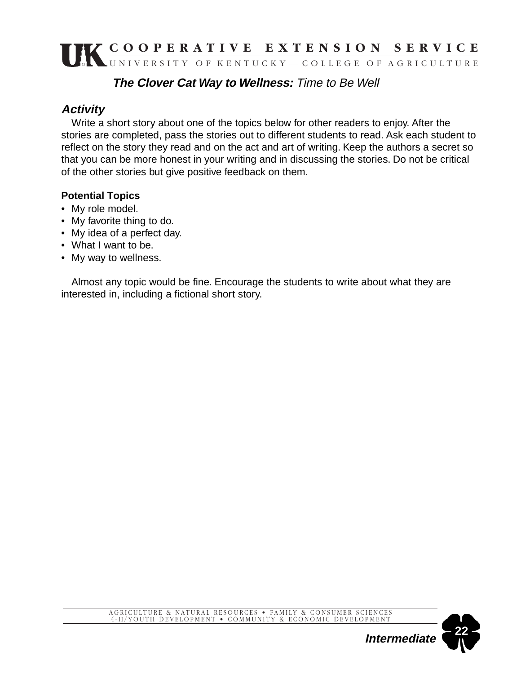#### **The Clover Cat Way to Wellness:** Time to Be Well

#### **Activity**

Write a short story about one of the topics below for other readers to enjoy. After the stories are completed, pass the stories out to different students to read. Ask each student to reflect on the story they read and on the act and art of writing. Keep the authors a secret so that you can be more honest in your writing and in discussing the stories. Do not be critical of the other stories but give positive feedback on them.

#### **Potential Topics**

- My role model.
- My favorite thing to do.
- My idea of a perfect day.
- What I want to be.
- My way to wellness.

Almost any topic would be fine. Encourage the students to write about what they are interested in, including a fictional short story.



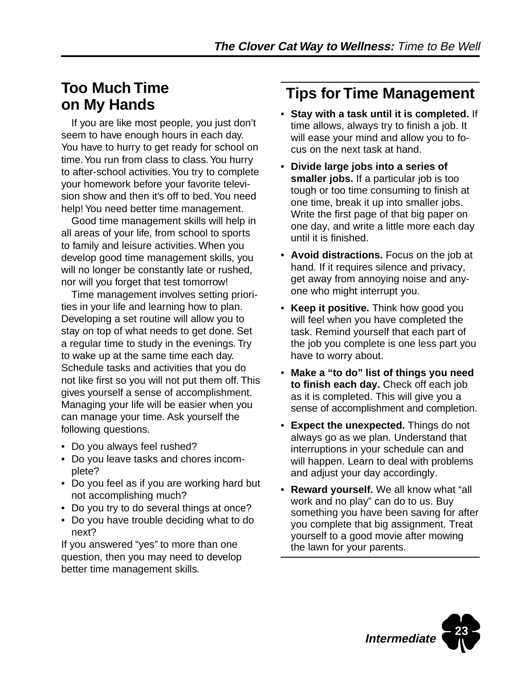## **Too Much Time on My Hands**

If you are like most people, you just don't seem to have enough hours in each day. You have to hurry to get ready for school on time. You run from class to class. You hurry to after-school activities. You try to complete your homework before your favorite television show and then it's off to bed. You need help! You need better time management.

Good time management skills will help in all areas of your life, from school to sports to family and leisure activities. When you develop good time management skills, you will no longer be constantly late or rushed, nor will you forget that test tomorrow!

Time management involves setting priorities in your life and learning how to plan. Developing a set routine will allow you to stay on top of what needs to get done. Set a regular time to study in the evenings. Try to wake up at the same time each day. Schedule tasks and activities that you do not like first so you will not put them off. This gives yourself a sense of accomplishment. Managing your life will be easier when you can manage your time. Ask yourself the following questions.

- Do you always feel rushed?
- Do you leave tasks and chores incomplete?
- Do you feel as if you are working hard but not accomplishing much?
- Do you try to do several things at once?
- Do you have trouble deciding what to do next?

If you answered "yes" to more than one question, then you may need to develop better time management skills.

## **Tips for Time Management**

- **Stay with a task until it is completed.** If time allows, always try to finish a job. It will ease your mind and allow you to focus on the next task at hand.
- **Divide large jobs into a series of smaller jobs.** If a particular job is too tough or too time consuming to finish at one time, break it up into smaller jobs. Write the first page of that big paper on one day, and write a little more each day until it is finished.
- **Avoid distractions.** Focus on the job at hand. If it requires silence and privacy, get away from annoying noise and anyone who might interrupt you.
- **Keep it positive.** Think how good you will feel when you have completed the task. Remind yourself that each part of the job you complete is one less part you have to worry about.
- **Make a "to do" list of things you need to finish each day.** Check off each job as it is completed. This will give you a sense of accomplishment and completion.
- **Expect the unexpected.** Things do not always go as we plan. Understand that interruptions in your schedule can and will happen. Learn to deal with problems and adjust your day accordingly.
- **Reward yourself.** We all know what "all work and no play" can do to us. Buy something you have been saving for after you complete that big assignment. Treat yourself to a good movie after mowing the lawn for your parents.

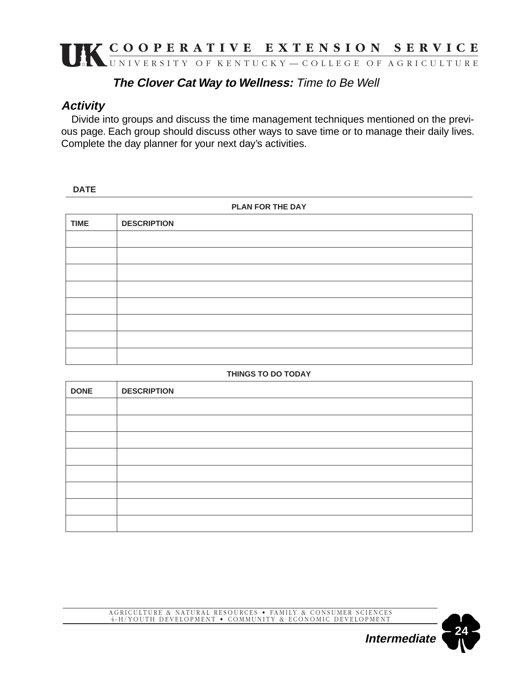#### **The Clover Cat Way to Wellness:** Time to Be Well

#### **Activity**

Divide into groups and discuss the time management techniques mentioned on the previous page. Each group should discuss other ways to save time or to manage their daily lives. Complete the day planner for your next day's activities.

#### **DATE**

| PLAN FOR THE DAY |                    |  |  |  |
|------------------|--------------------|--|--|--|
| <b>TIME</b>      | <b>DESCRIPTION</b> |  |  |  |
|                  |                    |  |  |  |
|                  |                    |  |  |  |
|                  |                    |  |  |  |
|                  |                    |  |  |  |
|                  |                    |  |  |  |
|                  |                    |  |  |  |
|                  |                    |  |  |  |
|                  |                    |  |  |  |

#### **THINGS TO DO TODAY**

| <b>DONE</b> | <b>DESCRIPTION</b> |
|-------------|--------------------|
|             |                    |
|             |                    |
|             |                    |
|             |                    |
|             |                    |
|             |                    |
|             |                    |
|             |                    |

AGRICULTURE & NATURAL RESOURCES • FAMILY & CONSUMER SCIENCES 4-H/YOUTH DEVELOPMENT • COMMUNITY & ECONOMIC DEVELOPMENT

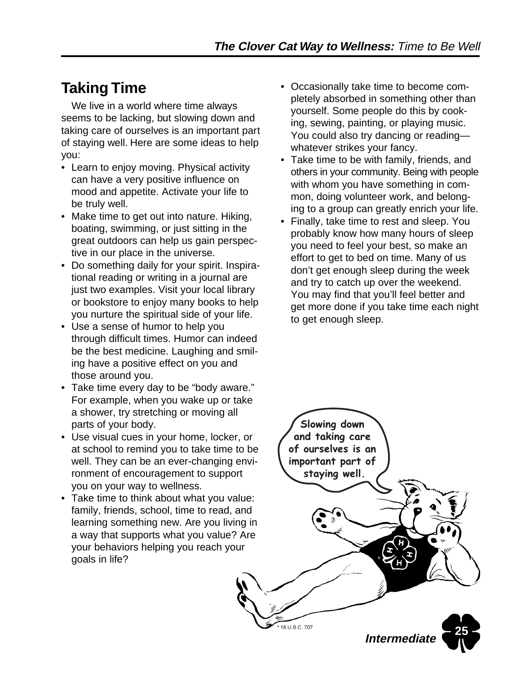## **Taking Time**

We live in a world where time always seems to be lacking, but slowing down and taking care of ourselves is an important part of staying well. Here are some ideas to help you:

- Learn to enjoy moving. Physical activity can have a very positive influence on mood and appetite. Activate your life to be truly well.
- Make time to get out into nature. Hiking, boating, swimming, or just sitting in the great outdoors can help us gain perspective in our place in the universe.
- Do something daily for your spirit. Inspirational reading or writing in a journal are just two examples. Visit your local library or bookstore to enjoy many books to help you nurture the spiritual side of your life.
- Use a sense of humor to help you through difficult times. Humor can indeed be the best medicine. Laughing and smiling have a positive effect on you and those around you.
- Take time every day to be "body aware." For example, when you wake up or take a shower, try stretching or moving all parts of your body.
- Use visual cues in your home, locker, or at school to remind you to take time to be well. They can be an ever-changing environment of encouragement to support you on your way to wellness.
- Take time to think about what you value: family, friends, school, time to read, and learning something new. Are you living in a way that supports what you value? Are your behaviors helping you reach your goals in life?
- Occasionally take time to become completely absorbed in something other than yourself. Some people do this by cooking, sewing, painting, or playing music. You could also try dancing or reading whatever strikes your fancy.
- Take time to be with family, friends, and others in your community. Being with people with whom you have something in common, doing volunteer work, and belonging to a group can greatly enrich your life.
- Finally, take time to rest and sleep. You probably know how many hours of sleep you need to feel your best, so make an effort to get to bed on time. Many of us don't get enough sleep during the week and try to catch up over the weekend. You may find that you'll feel better and get more done if you take time each night to get enough sleep.

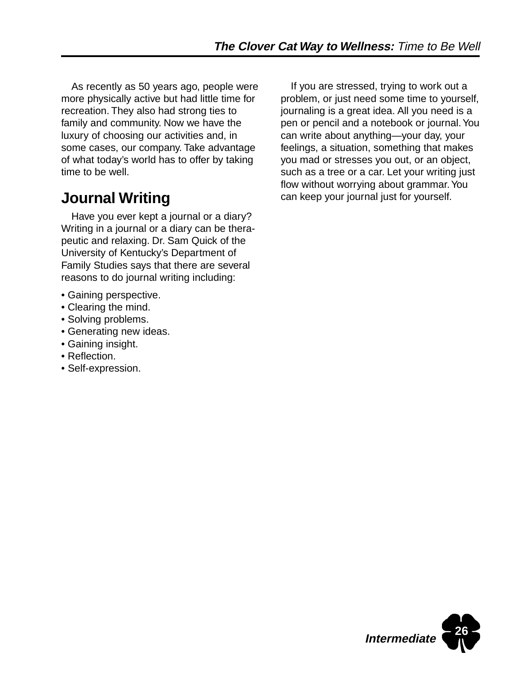As recently as 50 years ago, people were more physically active but had little time for recreation. They also had strong ties to family and community. Now we have the luxury of choosing our activities and, in some cases, our company. Take advantage of what today's world has to offer by taking time to be well.

## **Journal Writing**

Have you ever kept a journal or a diary? Writing in a journal or a diary can be therapeutic and relaxing. Dr. Sam Quick of the University of Kentucky's Department of Family Studies says that there are several reasons to do journal writing including:

- Gaining perspective.
- Clearing the mind.
- Solving problems.
- Generating new ideas.
- Gaining insight.
- Reflection.
- Self-expression.

If you are stressed, trying to work out a problem, or just need some time to yourself, journaling is a great idea. All you need is a pen or pencil and a notebook or journal. You can write about anything—your day, your feelings, a situation, something that makes you mad or stresses you out, or an object, such as a tree or a car. Let your writing just flow without worrying about grammar. You can keep your journal just for yourself.

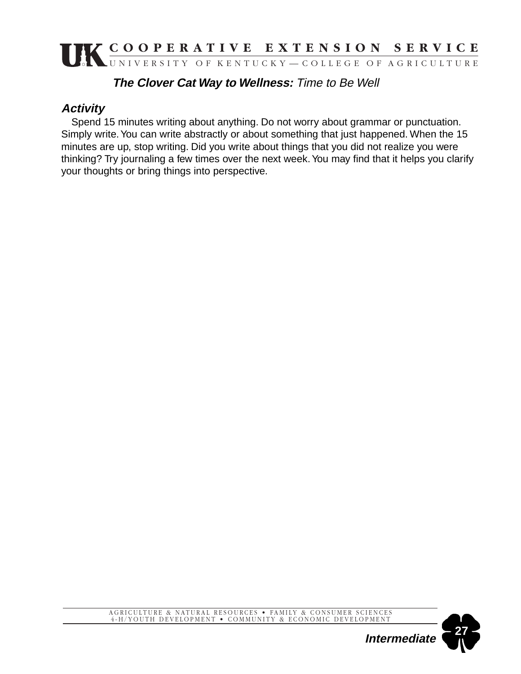#### **The Clover Cat Way to Wellness:** Time to Be Well

### **Activity**

Spend 15 minutes writing about anything. Do not worry about grammar or punctuation. Simply write. You can write abstractly or about something that just happened. When the 15 minutes are up, stop writing. Did you write about things that you did not realize you were thinking? Try journaling a few times over the next week. You may find that it helps you clarify your thoughts or bring things into perspective.



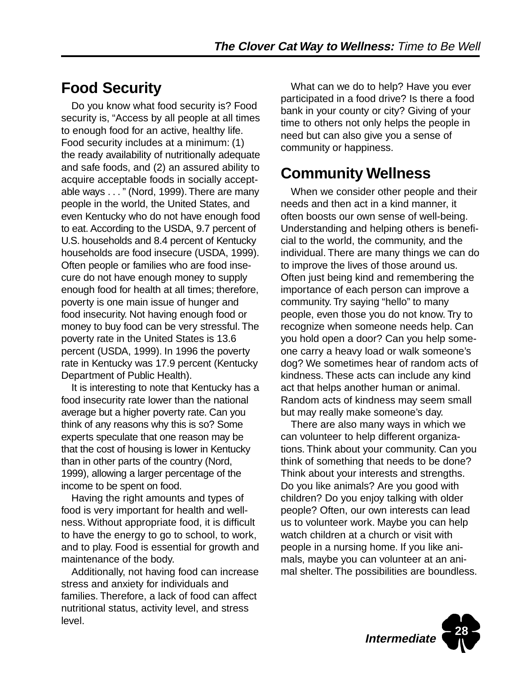## **Food Security**

Do you know what food security is? Food security is, "Access by all people at all times to enough food for an active, healthy life. Food security includes at a minimum: (1) the ready availability of nutritionally adequate and safe foods, and (2) an assured ability to acquire acceptable foods in socially acceptable ways . . . " (Nord, 1999). There are many people in the world, the United States, and even Kentucky who do not have enough food to eat. According to the USDA, 9.7 percent of U.S. households and 8.4 percent of Kentucky households are food insecure (USDA, 1999). Often people or families who are food insecure do not have enough money to supply enough food for health at all times; therefore, poverty is one main issue of hunger and food insecurity. Not having enough food or money to buy food can be very stressful. The poverty rate in the United States is 13.6 percent (USDA, 1999). In 1996 the poverty rate in Kentucky was 17.9 percent (Kentucky Department of Public Health).

It is interesting to note that Kentucky has a food insecurity rate lower than the national average but a higher poverty rate. Can you think of any reasons why this is so? Some experts speculate that one reason may be that the cost of housing is lower in Kentucky than in other parts of the country (Nord, 1999), allowing a larger percentage of the income to be spent on food.

Having the right amounts and types of food is very important for health and wellness. Without appropriate food, it is difficult to have the energy to go to school, to work, and to play. Food is essential for growth and maintenance of the body.

Additionally, not having food can increase stress and anxiety for individuals and families. Therefore, a lack of food can affect nutritional status, activity level, and stress level.

What can we do to help? Have you ever participated in a food drive? Is there a food bank in your county or city? Giving of your time to others not only helps the people in need but can also give you a sense of community or happiness.

## **Community Wellness**

When we consider other people and their needs and then act in a kind manner, it often boosts our own sense of well-being. Understanding and helping others is beneficial to the world, the community, and the individual. There are many things we can do to improve the lives of those around us. Often just being kind and remembering the importance of each person can improve a community. Try saying "hello" to many people, even those you do not know. Try to recognize when someone needs help. Can you hold open a door? Can you help someone carry a heavy load or walk someone's dog? We sometimes hear of random acts of kindness. These acts can include any kind act that helps another human or animal. Random acts of kindness may seem small but may really make someone's day.

There are also many ways in which we can volunteer to help different organizations. Think about your community. Can you think of something that needs to be done? Think about your interests and strengths. Do you like animals? Are you good with children? Do you enjoy talking with older people? Often, our own interests can lead us to volunteer work. Maybe you can help watch children at a church or visit with people in a nursing home. If you like animals, maybe you can volunteer at an animal shelter. The possibilities are boundless.

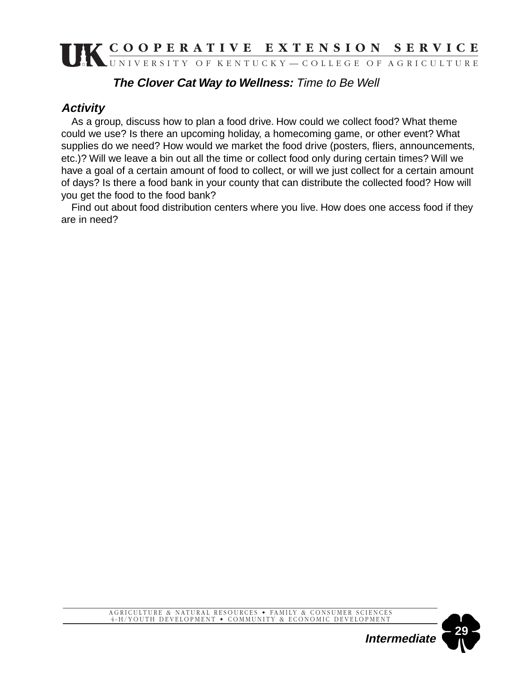#### **The Clover Cat Way to Wellness:** Time to Be Well

### **Activity**

As a group, discuss how to plan a food drive. How could we collect food? What theme could we use? Is there an upcoming holiday, a homecoming game, or other event? What supplies do we need? How would we market the food drive (posters, fliers, announcements, etc.)? Will we leave a bin out all the time or collect food only during certain times? Will we have a goal of a certain amount of food to collect, or will we just collect for a certain amount of days? Is there a food bank in your county that can distribute the collected food? How will you get the food to the food bank?

Find out about food distribution centers where you live. How does one access food if they are in need?

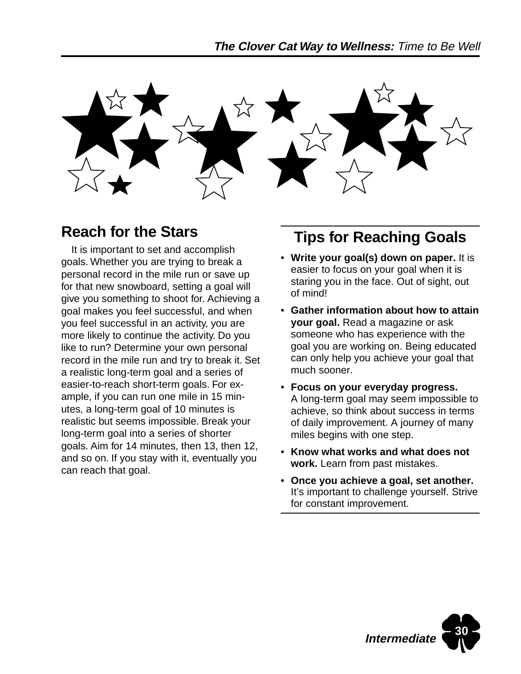

## **Reach for the Stars**

It is important to set and accomplish goals. Whether you are trying to break a personal record in the mile run or save up for that new snowboard, setting a goal will give you something to shoot for. Achieving a goal makes you feel successful, and when you feel successful in an activity, you are more likely to continue the activity. Do you like to run? Determine your own personal record in the mile run and try to break it. Set a realistic long-term goal and a series of easier-to-reach short-term goals. For example, if you can run one mile in 15 minutes, a long-term goal of 10 minutes is realistic but seems impossible. Break your long-term goal into a series of shorter goals. Aim for 14 minutes, then 13, then 12, and so on. If you stay with it, eventually you can reach that goal.

## **Tips for Reaching Goals**

- **Write your goal(s) down on paper.** It is easier to focus on your goal when it is staring you in the face. Out of sight, out of mind!
- **Gather information about how to attain your goal.** Read a magazine or ask someone who has experience with the goal you are working on. Being educated can only help you achieve your goal that much sooner.
- **Focus on your everyday progress.** A long-term goal may seem impossible to achieve, so think about success in terms of daily improvement. A journey of many miles begins with one step.
- **Know what works and what does not work.** Learn from past mistakes.
- **Once you achieve a goal, set another.** It's important to challenge yourself. Strive for constant improvement.

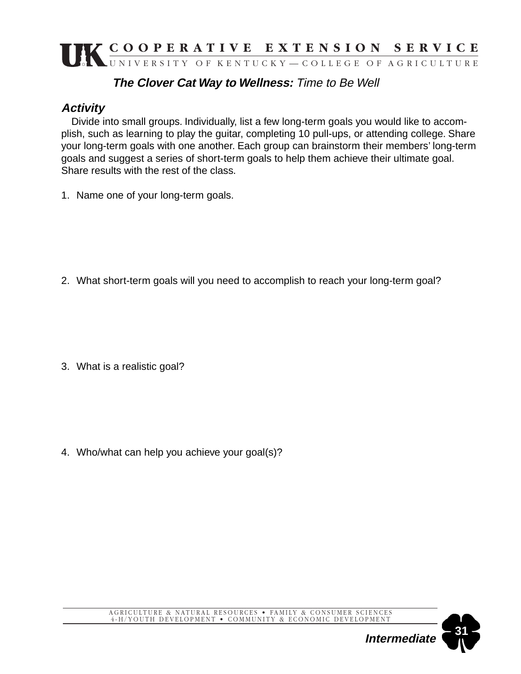### **The Clover Cat Way to Wellness:** Time to Be Well

### **Activity**

Divide into small groups. Individually, list a few long-term goals you would like to accomplish, such as learning to play the guitar, completing 10 pull-ups, or attending college. Share your long-term goals with one another. Each group can brainstorm their members' long-term goals and suggest a series of short-term goals to help them achieve their ultimate goal. Share results with the rest of the class.

1. Name one of your long-term goals.

2. What short-term goals will you need to accomplish to reach your long-term goal?

3. What is a realistic goal?

4. Who/what can help you achieve your goal(s)?